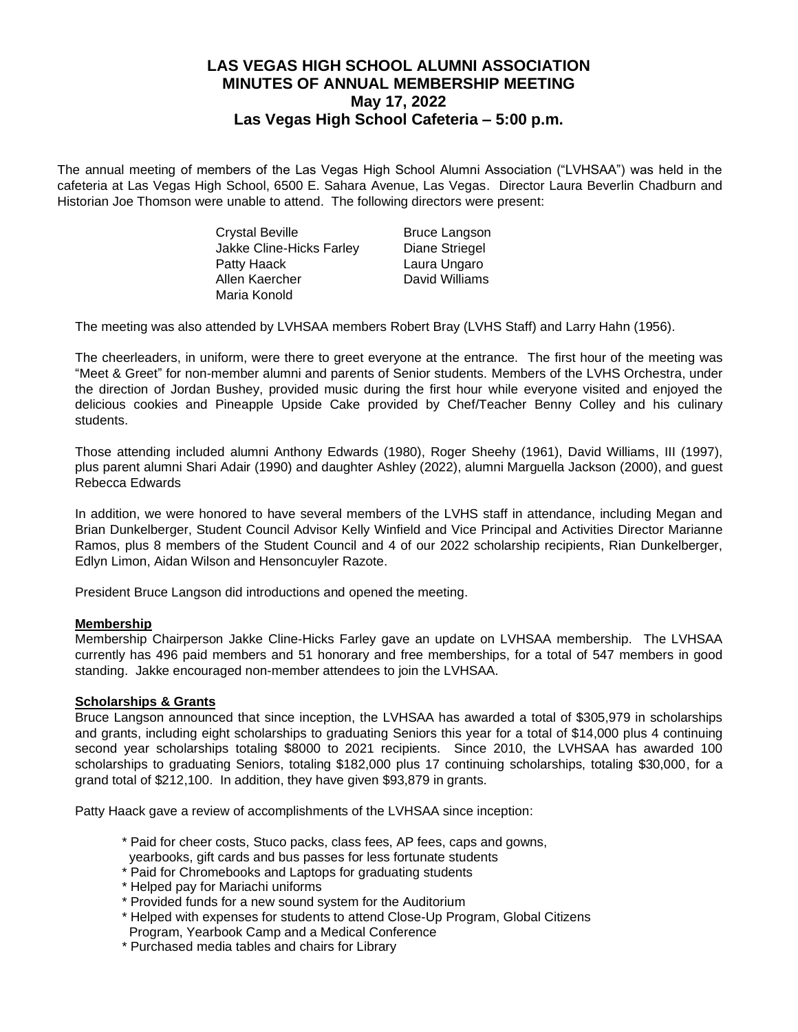# **LAS VEGAS HIGH SCHOOL ALUMNI ASSOCIATION MINUTES OF ANNUAL MEMBERSHIP MEETING May 17, 2022 Las Vegas High School Cafeteria – 5:00 p.m.**

The annual meeting of members of the Las Vegas High School Alumni Association ("LVHSAA") was held in the cafeteria at Las Vegas High School, 6500 E. Sahara Avenue, Las Vegas. Director Laura Beverlin Chadburn and Historian Joe Thomson were unable to attend. The following directors were present:

> Crystal Beville Bruce Langson Jakke Cline-Hicks Farley Diane Striegel Patty Haack Laura Ungaro Allen Kaercher **David Williams** Maria Konold

The meeting was also attended by LVHSAA members Robert Bray (LVHS Staff) and Larry Hahn (1956).

The cheerleaders, in uniform, were there to greet everyone at the entrance. The first hour of the meeting was "Meet & Greet" for non-member alumni and parents of Senior students. Members of the LVHS Orchestra, under the direction of Jordan Bushey, provided music during the first hour while everyone visited and enjoyed the delicious cookies and Pineapple Upside Cake provided by Chef/Teacher Benny Colley and his culinary students.

Those attending included alumni Anthony Edwards (1980), Roger Sheehy (1961), David Williams, III (1997), plus parent alumni Shari Adair (1990) and daughter Ashley (2022), alumni Marguella Jackson (2000), and guest Rebecca Edwards

In addition, we were honored to have several members of the LVHS staff in attendance, including Megan and Brian Dunkelberger, Student Council Advisor Kelly Winfield and Vice Principal and Activities Director Marianne Ramos, plus 8 members of the Student Council and 4 of our 2022 scholarship recipients, Rian Dunkelberger, Edlyn Limon, Aidan Wilson and Hensoncuyler Razote.

President Bruce Langson did introductions and opened the meeting.

# **Membership**

Membership Chairperson Jakke Cline-Hicks Farley gave an update on LVHSAA membership. The LVHSAA currently has 496 paid members and 51 honorary and free memberships, for a total of 547 members in good standing. Jakke encouraged non-member attendees to join the LVHSAA.

#### **Scholarships & Grants**

Bruce Langson announced that since inception, the LVHSAA has awarded a total of \$305,979 in scholarships and grants, including eight scholarships to graduating Seniors this year for a total of \$14,000 plus 4 continuing second year scholarships totaling \$8000 to 2021 recipients. Since 2010, the LVHSAA has awarded 100 scholarships to graduating Seniors, totaling \$182,000 plus 17 continuing scholarships, totaling \$30,000, for a grand total of \$212,100. In addition, they have given \$93,879 in grants.

Patty Haack gave a review of accomplishments of the LVHSAA since inception:

- \* Paid for cheer costs, Stuco packs, class fees, AP fees, caps and gowns,
- yearbooks, gift cards and bus passes for less fortunate students
- \* Paid for Chromebooks and Laptops for graduating students
- \* Helped pay for Mariachi uniforms
- \* Provided funds for a new sound system for the Auditorium
- \* Helped with expenses for students to attend Close-Up Program, Global Citizens
- Program, Yearbook Camp and a Medical Conference
- \* Purchased media tables and chairs for Library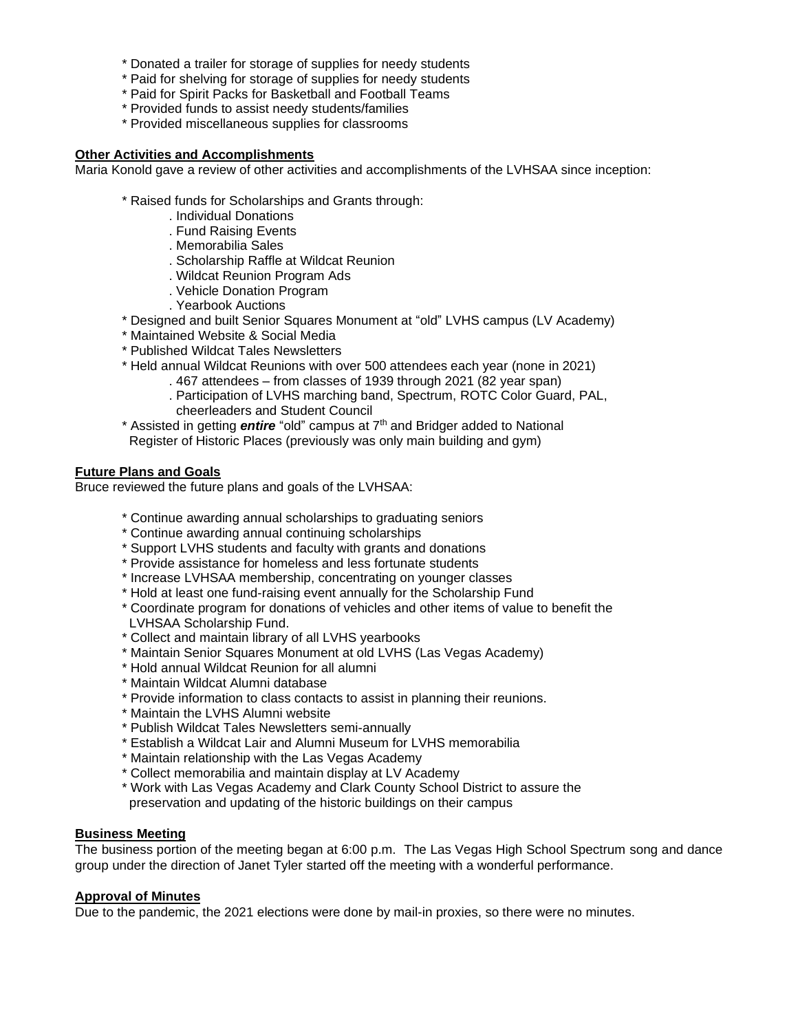- \* Donated a trailer for storage of supplies for needy students
- \* Paid for shelving for storage of supplies for needy students
- \* Paid for Spirit Packs for Basketball and Football Teams
- \* Provided funds to assist needy students/families
- \* Provided miscellaneous supplies for classrooms

#### **Other Activities and Accomplishments**

Maria Konold gave a review of other activities and accomplishments of the LVHSAA since inception:

- \* Raised funds for Scholarships and Grants through:
	- . Individual Donations
	- . Fund Raising Events
	- . Memorabilia Sales
	- . Scholarship Raffle at Wildcat Reunion
	- . Wildcat Reunion Program Ads
	- . Vehicle Donation Program
	- . Yearbook Auctions
- \* Designed and built Senior Squares Monument at "old" LVHS campus (LV Academy)
- \* Maintained Website & Social Media
- \* Published Wildcat Tales Newsletters
- \* Held annual Wildcat Reunions with over 500 attendees each year (none in 2021)
	- . 467 attendees from classes of 1939 through 2021 (82 year span)
		- . Participation of LVHS marching band, Spectrum, ROTC Color Guard, PAL, cheerleaders and Student Council
- \* Assisted in getting *entire* "old" campus at 7th and Bridger added to National Register of Historic Places (previously was only main building and gym)

## **Future Plans and Goals**

Bruce reviewed the future plans and goals of the LVHSAA:

- \* Continue awarding annual scholarships to graduating seniors
- \* Continue awarding annual continuing scholarships
- \* Support LVHS students and faculty with grants and donations
- \* Provide assistance for homeless and less fortunate students
- \* Increase LVHSAA membership, concentrating on younger classes
- \* Hold at least one fund-raising event annually for the Scholarship Fund
- \* Coordinate program for donations of vehicles and other items of value to benefit the LVHSAA Scholarship Fund.
- \* Collect and maintain library of all LVHS yearbooks
- \* Maintain Senior Squares Monument at old LVHS (Las Vegas Academy)
- \* Hold annual Wildcat Reunion for all alumni
- \* Maintain Wildcat Alumni database
- \* Provide information to class contacts to assist in planning their reunions.
- \* Maintain the LVHS Alumni website
- \* Publish Wildcat Tales Newsletters semi-annually
- \* Establish a Wildcat Lair and Alumni Museum for LVHS memorabilia
- \* Maintain relationship with the Las Vegas Academy
- \* Collect memorabilia and maintain display at LV Academy
- \* Work with Las Vegas Academy and Clark County School District to assure the preservation and updating of the historic buildings on their campus

#### **Business Meeting**

The business portion of the meeting began at 6:00 p.m. The Las Vegas High School Spectrum song and dance group under the direction of Janet Tyler started off the meeting with a wonderful performance.

#### **Approval of Minutes**

Due to the pandemic, the 2021 elections were done by mail-in proxies, so there were no minutes.